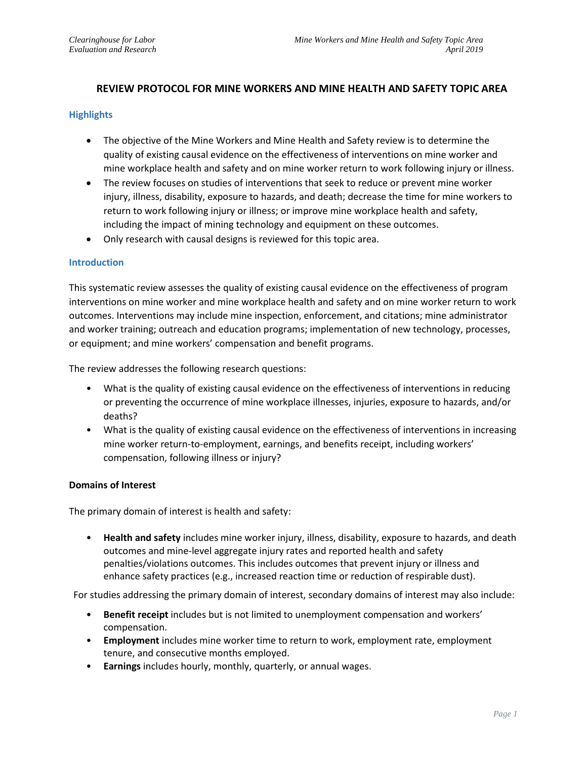# **REVIEW PROTOCOL FOR MINE WORKERS AND MINE HEALTH AND SAFETY TOPIC AREA**

### **Highlights**

- The objective of the Mine Workers and Mine Health and Safety review is to determine the quality of existing causal evidence on the effectiveness of interventions on mine worker and mine workplace health and safety and on mine worker return to work following injury or illness.
- The review focuses on studies of interventions that seek to reduce or prevent mine worker injury, illness, disability, exposure to hazards, and death; decrease the time for mine workers to return to work following injury or illness; or improve mine workplace health and safety, including the impact of mining technology and equipment on these outcomes.
- Only research with causal designs is reviewed for this topic area.

### **Introduction**

This systematic review assesses the quality of existing causal evidence on the effectiveness of program interventions on mine worker and mine workplace health and safety and on mine worker return to work outcomes. Interventions may include mine inspection, enforcement, and citations; mine administrator and worker training; outreach and education programs; implementation of new technology, processes, or equipment; and mine workers' compensation and benefit programs.

The review addresses the following research questions:

- What is the quality of existing causal evidence on the effectiveness of interventions in reducing or preventing the occurrence of mine workplace illnesses, injuries, exposure to hazards, and/or deaths?
- What is the quality of existing causal evidence on the effectiveness of interventions in increasing mine worker return-to-employment, earnings, and benefits receipt, including workers' compensation, following illness or injury?

### **Domains of Interest**

The primary domain of interest is health and safety:

• **Health and safety** includes mine worker injury, illness, disability, exposure to hazards, and death outcomes and mine-level aggregate injury rates and reported health and safety penalties/violations outcomes. This includes outcomes that prevent injury or illness and enhance safety practices (e.g., increased reaction time or reduction of respirable dust).

For studies addressing the primary domain of interest, secondary domains of interest may also include:

- **Benefit receipt** includes but is not limited to unemployment compensation and workers' compensation.
- **Employment** includes mine worker time to return to work, employment rate, employment tenure, and consecutive months employed.
- **Earnings** includes hourly, monthly, quarterly, or annual wages.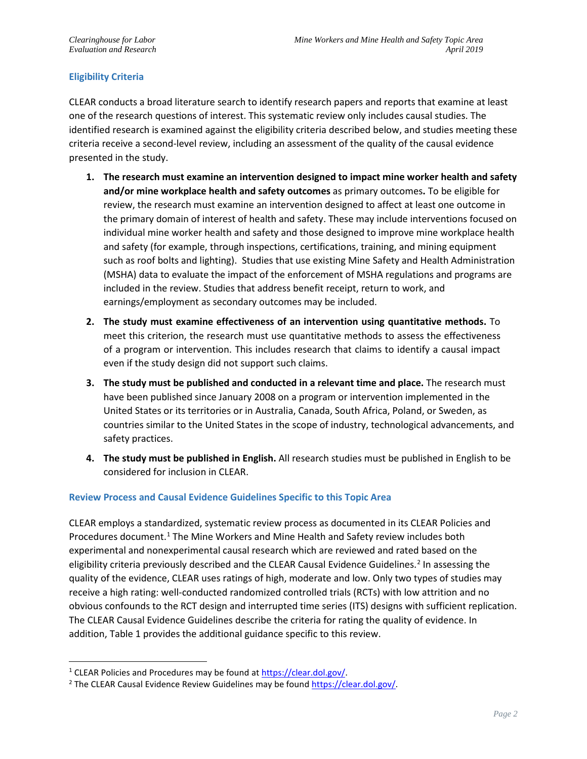# **Eligibility Criteria**

CLEAR conducts a broad literature search to identify research papers and reports that examine at least one of the research questions of interest. This systematic review only includes causal studies. The identified research is examined against the eligibility criteria described below, and studies meeting these criteria receive a second-level review, including an assessment of the quality of the causal evidence presented in the study.

- **1. The research must examine an intervention designed to impact mine worker health and safety and/or mine workplace health and safety outcomes** as primary outcomes**.** To be eligible for review, the research must examine an intervention designed to affect at least one outcome in the primary domain of interest of health and safety. These may include interventions focused on individual mine worker health and safety and those designed to improve mine workplace health and safety (for example, through inspections, certifications, training, and mining equipment such as roof bolts and lighting). Studies that use existing Mine Safety and Health Administration (MSHA) data to evaluate the impact of the enforcement of MSHA regulations and programs are included in the review. Studies that address benefit receipt, return to work, and earnings/employment as secondary outcomes may be included.
- **2. The study must examine effectiveness of an intervention using quantitative methods.** To meet this criterion, the research must use quantitative methods to assess the effectiveness of a program or intervention. This includes research that claims to identify a causal impact even if the study design did not support such claims.
- **3. The study must be published and conducted in a relevant time and place.** The research must have been published since January 2008 on a program or intervention implemented in the United States or its territories or in Australia, Canada, South Africa, Poland, or Sweden, as countries similar to the United States in the scope of industry, technological advancements, and safety practices.
- **4. The study must be published in English.** All research studies must be published in English to be considered for inclusion in CLEAR.

### **Review Process and Causal Evidence Guidelines Specific to this Topic Area**

CLEAR employs a standardized, systematic review process as documented in its CLEAR Policies and Procedures document. [1](#page-1-0) The Mine Workers and Mine Health and Safety review includes both experimental and nonexperimental causal research which are reviewed and rated based on the eligibility criteria previously described and the CLEAR Causal Evidence Guidelines. [2](#page-1-1) In assessing the quality of the evidence, CLEAR uses ratings of high, moderate and low. Only two types of studies may receive a high rating: well-conducted randomized controlled trials (RCTs) with low attrition and no obvious confounds to the RCT design and interrupted time series (ITS) designs with sufficient replication. The CLEAR Causal Evidence Guidelines describe the criteria for rating the quality of evidence. In addition, Table 1 provides the additional guidance specific to this review.

<span id="page-1-1"></span><span id="page-1-0"></span><sup>&</sup>lt;sup>1</sup> CLEAR Policies and Procedures may be found at  $\frac{https://clean.dol.gov/}{https://clean.dol.gov/}.$ <br><sup>2</sup> The CLEAR Causal Evidence Review Guidelines may be found [https://clear.dol.gov/.](https://clear.dol.gov/)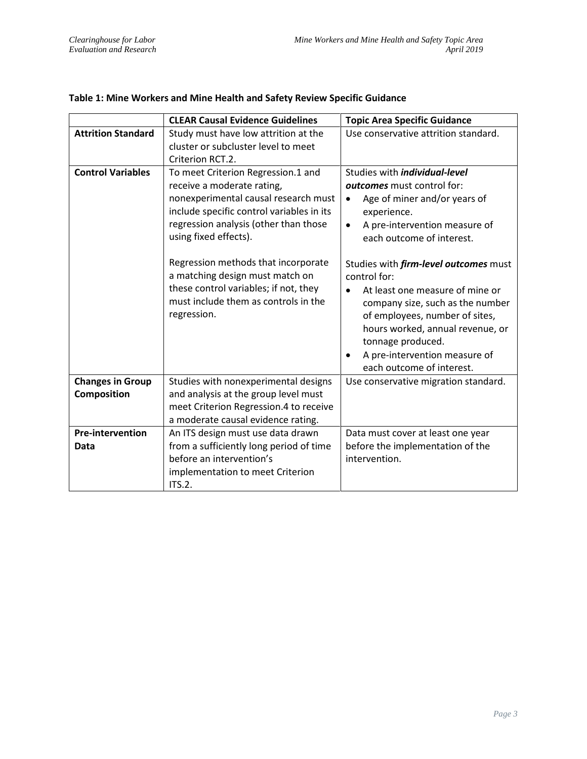|                                        | <b>CLEAR Causal Evidence Guidelines</b>                                                                                                                                                                                                                                                                                                                                                           | <b>Topic Area Specific Guidance</b>                                                                                                                                                                                                                                                                                                                                                                                                                                                                                    |  |
|----------------------------------------|---------------------------------------------------------------------------------------------------------------------------------------------------------------------------------------------------------------------------------------------------------------------------------------------------------------------------------------------------------------------------------------------------|------------------------------------------------------------------------------------------------------------------------------------------------------------------------------------------------------------------------------------------------------------------------------------------------------------------------------------------------------------------------------------------------------------------------------------------------------------------------------------------------------------------------|--|
| <b>Attrition Standard</b>              | Study must have low attrition at the<br>cluster or subcluster level to meet<br>Criterion RCT.2.                                                                                                                                                                                                                                                                                                   | Use conservative attrition standard.                                                                                                                                                                                                                                                                                                                                                                                                                                                                                   |  |
| <b>Control Variables</b>               | To meet Criterion Regression.1 and<br>receive a moderate rating,<br>nonexperimental causal research must<br>include specific control variables in its<br>regression analysis (other than those<br>using fixed effects).<br>Regression methods that incorporate<br>a matching design must match on<br>these control variables; if not, they<br>must include them as controls in the<br>regression. | Studies with <i>individual-level</i><br>outcomes must control for:<br>Age of miner and/or years of<br>$\bullet$<br>experience.<br>A pre-intervention measure of<br>$\bullet$<br>each outcome of interest.<br>Studies with <i>firm-level outcomes</i> must<br>control for:<br>At least one measure of mine or<br>company size, such as the number<br>of employees, number of sites,<br>hours worked, annual revenue, or<br>tonnage produced.<br>A pre-intervention measure of<br>$\bullet$<br>each outcome of interest. |  |
| <b>Changes in Group</b><br>Composition | Studies with nonexperimental designs<br>and analysis at the group level must                                                                                                                                                                                                                                                                                                                      | Use conservative migration standard.                                                                                                                                                                                                                                                                                                                                                                                                                                                                                   |  |
|                                        | meet Criterion Regression.4 to receive<br>a moderate causal evidence rating.                                                                                                                                                                                                                                                                                                                      |                                                                                                                                                                                                                                                                                                                                                                                                                                                                                                                        |  |
| <b>Pre-intervention</b><br>Data        | An ITS design must use data drawn<br>from a sufficiently long period of time<br>before an intervention's<br>implementation to meet Criterion<br>ITS.2.                                                                                                                                                                                                                                            | Data must cover at least one year<br>before the implementation of the<br>intervention.                                                                                                                                                                                                                                                                                                                                                                                                                                 |  |

# **Table 1: Mine Workers and Mine Health and Safety Review Specific Guidance**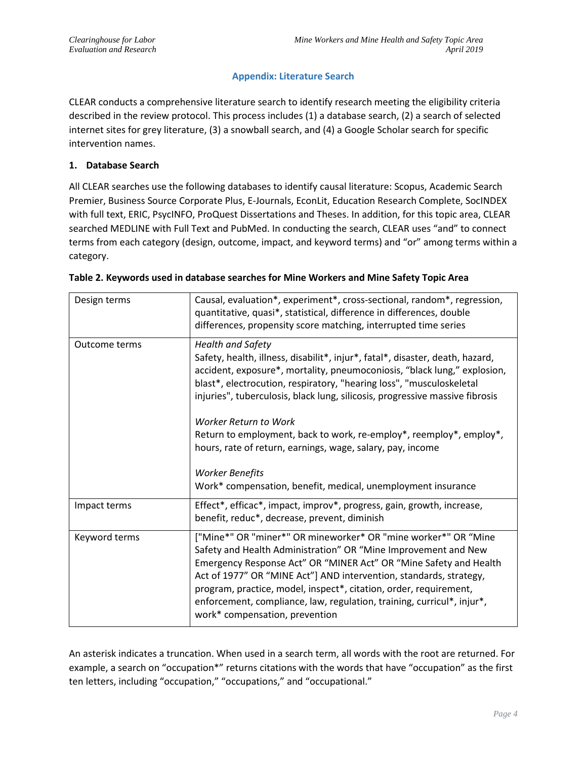# **Appendix: Literature Search**

CLEAR conducts a comprehensive literature search to identify research meeting the eligibility criteria described in the review protocol. This process includes (1) a database search, (2) a search of selected internet sites for grey literature, (3) a snowball search, and (4) a Google Scholar search for specific intervention names.

## **1. Database Search**

All CLEAR searches use the following databases to identify causal literature: Scopus, Academic Search Premier, Business Source Corporate Plus, E-Journals, EconLit, Education Research Complete, SocINDEX with full text, ERIC, PsycINFO, ProQuest Dissertations and Theses. In addition, for this topic area, CLEAR searched MEDLINE with Full Text and PubMed. In conducting the search, CLEAR uses "and" to connect terms from each category (design, outcome, impact, and keyword terms) and "or" among terms within a category.

| Design terms  | Causal, evaluation*, experiment*, cross-sectional, random*, regression,<br>quantitative, quasi*, statistical, difference in differences, double<br>differences, propensity score matching, interrupted time series                                                                                                                                                                                                                                           |  |
|---------------|--------------------------------------------------------------------------------------------------------------------------------------------------------------------------------------------------------------------------------------------------------------------------------------------------------------------------------------------------------------------------------------------------------------------------------------------------------------|--|
| Outcome terms | <b>Health and Safety</b><br>Safety, health, illness, disabilit*, injur*, fatal*, disaster, death, hazard,<br>accident, exposure*, mortality, pneumoconiosis, "black lung," explosion,<br>blast*, electrocution, respiratory, "hearing loss", "musculoskeletal<br>injuries", tuberculosis, black lung, silicosis, progressive massive fibrosis<br>Worker Return to Work<br>Return to employment, back to work, re-employ*, reemploy*, employ*,                |  |
|               | hours, rate of return, earnings, wage, salary, pay, income<br><b>Worker Benefits</b><br>Work* compensation, benefit, medical, unemployment insurance                                                                                                                                                                                                                                                                                                         |  |
| Impact terms  | Effect*, efficac*, impact, improv*, progress, gain, growth, increase,<br>benefit, reduc*, decrease, prevent, diminish                                                                                                                                                                                                                                                                                                                                        |  |
| Keyword terms | ["Mine*" OR "miner*" OR mineworker* OR "mine worker*" OR "Mine<br>Safety and Health Administration" OR "Mine Improvement and New<br>Emergency Response Act" OR "MINER Act" OR "Mine Safety and Health<br>Act of 1977" OR "MINE Act"] AND intervention, standards, strategy,<br>program, practice, model, inspect*, citation, order, requirement,<br>enforcement, compliance, law, regulation, training, curricul*, injur*,<br>work* compensation, prevention |  |

| Table 2. Keywords used in database searches for Mine Workers and Mine Safety Topic Area |  |  |
|-----------------------------------------------------------------------------------------|--|--|
|-----------------------------------------------------------------------------------------|--|--|

An asterisk indicates a truncation. When used in a search term, all words with the root are returned. For example, a search on "occupation\*" returns citations with the words that have "occupation" as the first ten letters, including "occupation," "occupations," and "occupational."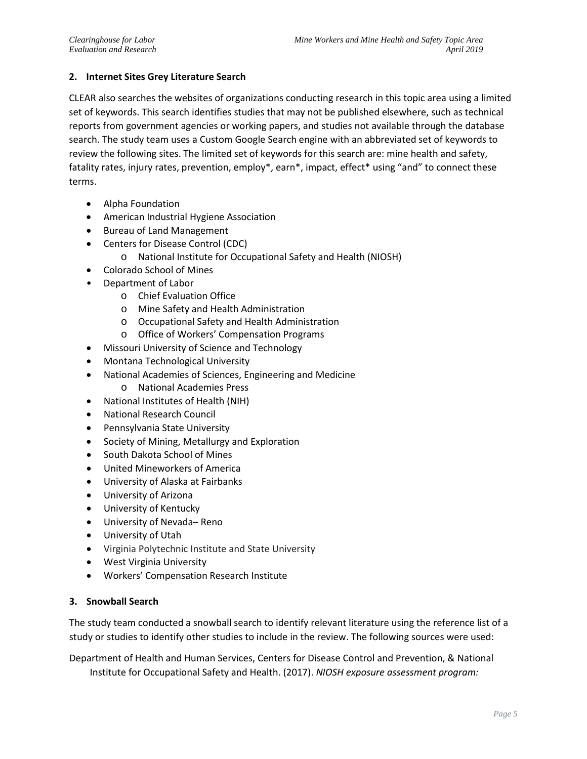## **2. Internet Sites Grey Literature Search**

CLEAR also searches the websites of organizations conducting research in this topic area using a limited set of keywords. This search identifies studies that may not be published elsewhere, such as technical reports from government agencies or working papers, and studies not available through the database search. The study team uses a Custom Google Search engine with an abbreviated set of keywords to review the following sites. The limited set of keywords for this search are: mine health and safety, fatality rates, injury rates, prevention, employ\*, earn\*, impact, effect\* using "and" to connect these terms.

- Alpha Foundation
- American Industrial Hygiene Association
- Bureau of Land Management
- Centers for Disease Control (CDC)
	- o National Institute for Occupational Safety and Health (NIOSH)
- Colorado School of Mines
- Department of Labor
	- o Chief Evaluation Office
	- o Mine Safety and Health Administration
	- o Occupational Safety and Health Administration
	- o Office of Workers' Compensation Programs
- Missouri University of Science and Technology
- Montana Technological University
- National Academies of Sciences, Engineering and Medicine
	- o National Academies Press
- National Institutes of Health (NIH)
- National Research Council
- Pennsylvania State University
- Society of Mining, Metallurgy and Exploration
- South Dakota School of Mines
- United Mineworkers of America
- University of Alaska at Fairbanks
- University of Arizona
- University of Kentucky
- University of Nevada– Reno
- University of Utah
- Virginia Polytechnic Institute and State University
- West Virginia University
- Workers' Compensation Research Institute

### **3. Snowball Search**

The study team conducted a snowball search to identify relevant literature using the reference list of a study or studies to identify other studies to include in the review. The following sources were used:

Department of Health and Human Services, Centers for Disease Control and Prevention, & National Institute for Occupational Safety and Health. (2017). *NIOSH exposure assessment program:*